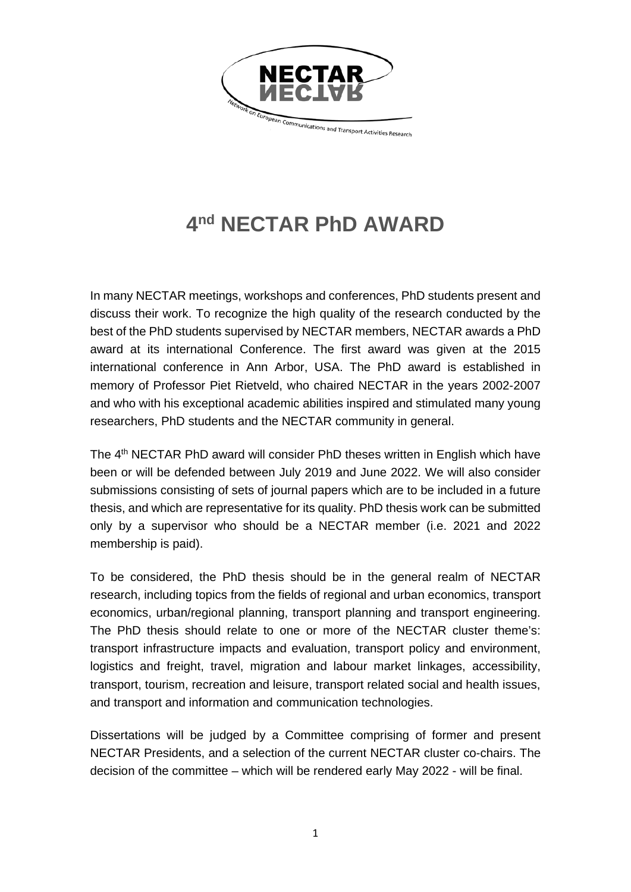

## **4nd NECTAR PhD AWARD**

In many NECTAR meetings, workshops and conferences, PhD students present and discuss their work. To recognize the high quality of the research conducted by the best of the PhD students supervised by NECTAR members, NECTAR awards a PhD award at its international Conference. The first award was given at the 2015 international conference in Ann Arbor, USA. The PhD award is established in memory of Professor Piet Rietveld, who chaired NECTAR in the years 2002-2007 and who with his exceptional academic abilities inspired and stimulated many young researchers, PhD students and the NECTAR community in general.

The 4<sup>th</sup> NECTAR PhD award will consider PhD theses written in English which have been or will be defended between July 2019 and June 2022. We will also consider submissions consisting of sets of journal papers which are to be included in a future thesis, and which are representative for its quality. PhD thesis work can be submitted only by a supervisor who should be a NECTAR member (i.e. 2021 and 2022 membership is paid).

To be considered, the PhD thesis should be in the general realm of NECTAR research, including topics from the fields of regional and urban economics, transport economics, urban/regional planning, transport planning and transport engineering. The PhD thesis should relate to one or more of the NECTAR cluster theme's: transport infrastructure impacts and evaluation, transport policy and environment, logistics and freight, travel, migration and labour market linkages, accessibility, transport, tourism, recreation and leisure, transport related social and health issues, and transport and information and communication technologies.

Dissertations will be judged by a Committee comprising of former and present NECTAR Presidents, and a selection of the current NECTAR cluster co-chairs. The decision of the committee – which will be rendered early May 2022 - will be final.